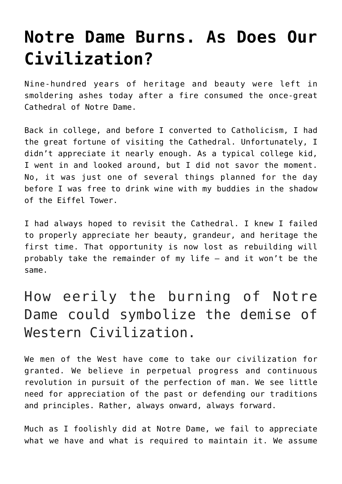## **[Notre Dame Burns. As Does Our](https://intellectualtakeout.org/2019/04/notre-dame-burns-as-does-our-civilization/) [Civilization?](https://intellectualtakeout.org/2019/04/notre-dame-burns-as-does-our-civilization/)**

Nine-hundred years of heritage and beauty were left in smoldering ashes today after a fire consumed the once-great Cathedral of Notre Dame.

Back in college, and before I converted to Catholicism, I had the great fortune of visiting the Cathedral. Unfortunately, I didn't appreciate it nearly enough. As a typical college kid, I went in and looked around, but I did not savor the moment. No, it was just one of several things planned for the day before I was free to drink wine with my buddies in the shadow of the Eiffel Tower.

I had always hoped to revisit the Cathedral. I knew I failed to properly appreciate her beauty, grandeur, and heritage the first time. That opportunity is now lost as rebuilding will probably take the remainder of my life — and it won't be the same.

## How eerily the burning of Notre Dame could symbolize the demise of Western Civilization.

We men of the West have come to take our civilization for granted. We believe in perpetual progress and continuous revolution in pursuit of the perfection of man. We see little need for appreciation of the past or defending our traditions and principles. Rather, always onward, always forward.

Much as I foolishly did at Notre Dame, we fail to appreciate what we have and what is required to maintain it. We assume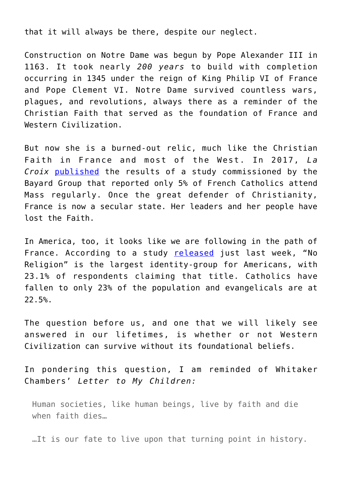that it will always be there, despite our neglect.

Construction on Notre Dame was begun by Pope Alexander III in 1163. It took nearly *200 years* to build with completion occurring in 1345 under the reign of King Philip VI of France and Pope Clement VI. Notre Dame survived countless wars, plagues, and revolutions, always there as a reminder of the Christian Faith that served as the foundation of France and Western Civilization.

But now she is a burned-out relic, much like the Christian Faith in France and most of the West. In 2017. La *Croix* [published](https://international.la-croix.com/news/the-sociology-of-french-catholics/4491) the results of a study commissioned by the Bayard Group that reported only 5% of French Catholics attend Mass regularly. Once the great defender of Christianity, France is now a secular state. Her leaders and her people have lost the Faith.

In America, too, it looks like we are following in the path of France. According to a study [released](https://www.cnn.com/2019/04/13/us/no-religion-largest-group-first-time-usa-trnd/index.html) just last week, "No Religion" is the largest identity-group for Americans, with 23.1% of respondents claiming that title. Catholics have fallen to only 23% of the population and evangelicals are at 22.5%.

The question before us, and one that we will likely see answered in our lifetimes, is whether or not Western Civilization can survive without its foundational beliefs.

In pondering this question, I am reminded of Whitaker Chambers' *Letter to My Children:*

Human societies, like human beings, live by faith and die when faith dies…

…It is our fate to live upon that turning point in history.